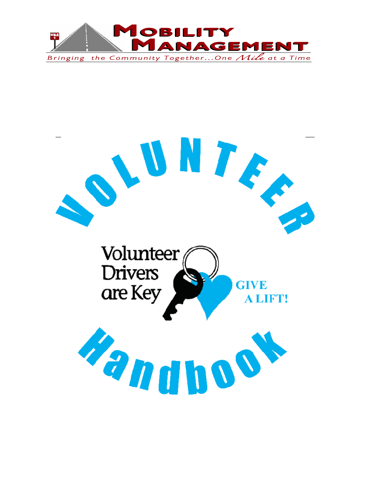

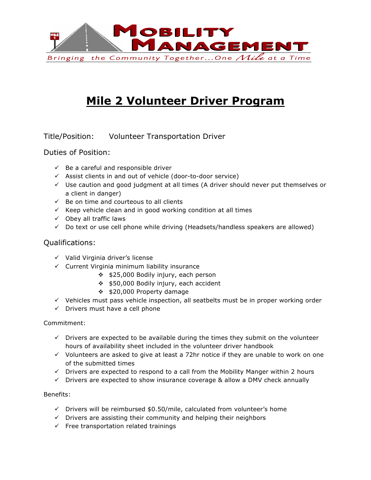

# **Mile 2 Volunteer Driver Program**

Title/Position: Volunteer Transportation Driver

Duties of Position:

- $\checkmark$  Be a careful and responsible driver
- $\checkmark$  Assist clients in and out of vehicle (door-to-door service)
- $\checkmark$  Use caution and good judgment at all times (A driver should never put themselves or a client in danger)
- $\checkmark$  Be on time and courteous to all clients
- $\checkmark$  Keep vehicle clean and in good working condition at all times
- $\checkmark$  Obey all traffic laws
- $\checkmark$  Do text or use cell phone while driving (Headsets/handless speakers are allowed)

#### Qualifications:

- $\checkmark$  Valid Virginia driver's license
- $\checkmark$  Current Virginia minimum liability insurance
	- $\div$  \$25,000 Bodily injury, each person
	- v \$50,000 Bodily injury, each accident
	- $\div$  \$20,000 Property damage
- $\checkmark$  Vehicles must pass vehicle inspection, all seatbelts must be in proper working order
- $\checkmark$  Drivers must have a cell phone

#### Commitment:

- $\checkmark$  Drivers are expected to be available during the times they submit on the volunteer hours of availability sheet included in the volunteer driver handbook
- $\checkmark$  Volunteers are asked to give at least a 72hr notice if they are unable to work on one of the submitted times
- $\checkmark$  Drivers are expected to respond to a call from the Mobility Manger within 2 hours
- $\checkmark$  Drivers are expected to show insurance coverage & allow a DMV check annually

#### Benefits:

- $\checkmark$  Drivers will be reimbursed \$0.50/mile, calculated from volunteer's home
- $\checkmark$  Drivers are assisting their community and helping their neighbors
- $\checkmark$  Free transportation related trainings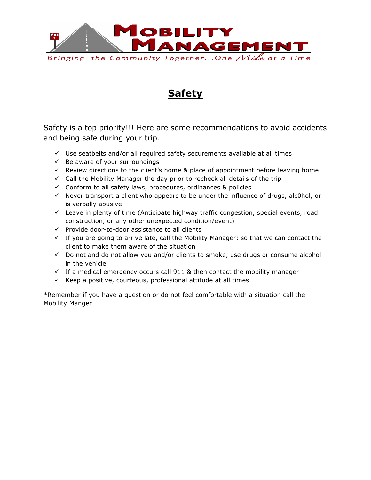

### **Safety**

Safety is a top priority!!! Here are some recommendations to avoid accidents and being safe during your trip.

- $\checkmark$  Use seatbelts and/or all required safety securements available at all times
- $\checkmark$  Be aware of your surroundings
- $\checkmark$  Review directions to the client's home & place of appointment before leaving home
- $\checkmark$  Call the Mobility Manager the day prior to recheck all details of the trip
- $\checkmark$  Conform to all safety laws, procedures, ordinances & policies
- $\checkmark$  Never transport a client who appears to be under the influence of drugs, alc0hol, or is verbally abusive
- $\checkmark$  Leave in plenty of time (Anticipate highway traffic congestion, special events, road construction, or any other unexpected condition/event)
- $\checkmark$  Provide door-to-door assistance to all clients
- $\checkmark$  If you are going to arrive late, call the Mobility Manager; so that we can contact the client to make them aware of the situation
- $\checkmark$  Do not and do not allow you and/or clients to smoke, use drugs or consume alcohol in the vehicle
- $\checkmark$  If a medical emergency occurs call 911 & then contact the mobility manager
- $\checkmark$  Keep a positive, courteous, professional attitude at all times

\*Remember if you have a question or do not feel comfortable with a situation call the Mobility Manger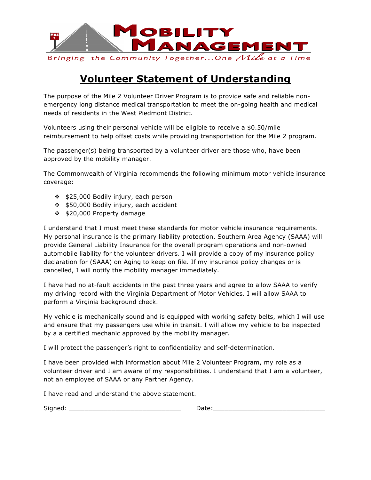

### **Volunteer Statement of Understanding**

The purpose of the Mile 2 Volunteer Driver Program is to provide safe and reliable nonemergency long distance medical transportation to meet the on-going health and medical needs of residents in the West Piedmont District.

Volunteers using their personal vehicle will be eligible to receive a \$0.50/mile reimbursement to help offset costs while providing transportation for the Mile 2 program.

The passenger(s) being transported by a volunteer driver are those who, have been approved by the mobility manager.

The Commonwealth of Virginia recommends the following minimum motor vehicle insurance coverage:

- ❖ \$25,000 Bodily injury, each person
- v \$50,000 Bodily injury, each accident
- v \$20,000 Property damage

I understand that I must meet these standards for motor vehicle insurance requirements. My personal insurance is the primary liability protection. Southern Area Agency (SAAA) will provide General Liability Insurance for the overall program operations and non-owned automobile liability for the volunteer drivers. I will provide a copy of my insurance policy declaration for (SAAA) on Aging to keep on file. If my insurance policy changes or is cancelled, I will notify the mobility manager immediately.

I have had no at-fault accidents in the past three years and agree to allow SAAA to verify my driving record with the Virginia Department of Motor Vehicles. I will allow SAAA to perform a Virginia background check.

My vehicle is mechanically sound and is equipped with working safety belts, which I will use and ensure that my passengers use while in transit. I will allow my vehicle to be inspected by a a certified mechanic approved by the mobility manager.

I will protect the passenger's right to confidentiality and self-determination.

I have been provided with information about Mile 2 Volunteer Program, my role as a volunteer driver and I am aware of my responsibilities. I understand that I am a volunteer, not an employee of SAAA or any Partner Agency.

I have read and understand the above statement.

Signed: \_\_\_\_\_\_\_\_\_\_\_\_\_\_\_\_\_\_\_\_\_\_\_\_\_\_\_\_\_ Date:\_\_\_\_\_\_\_\_\_\_\_\_\_\_\_\_\_\_\_\_\_\_\_\_\_\_\_\_\_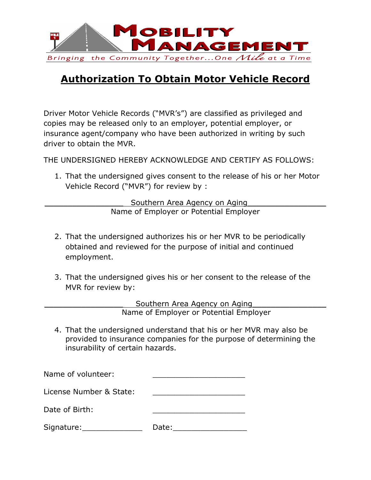

### **Authorization To Obtain Motor Vehicle Record**

Driver Motor Vehicle Records ("MVR's") are classified as privileged and copies may be released only to an employer, potential employer, or insurance agent/company who have been authorized in writing by such driver to obtain the MVR.

THE UNDERSIGNED HEREBY ACKNOWLEDGE AND CERTIFY AS FOLLOWS:

1. That the undersigned gives consent to the release of his or her Motor Vehicle Record ("MVR") for review by :

> Southern Area Agency on Aging Name of Employer or Potential Employer

- 2. That the undersigned authorizes his or her MVR to be periodically obtained and reviewed for the purpose of initial and continued employment.
- 3. That the undersigned gives his or her consent to the release of the MVR for review by:

Southern Area Agency on Aging Name of Employer or Potential Employer

4. That the undersigned understand that his or her MVR may also be provided to insurance companies for the purpose of determining the insurability of certain hazards.

| Name of volunteer:      |       |
|-------------------------|-------|
| License Number & State: |       |
| Date of Birth:          |       |
| Signature:              | Date: |